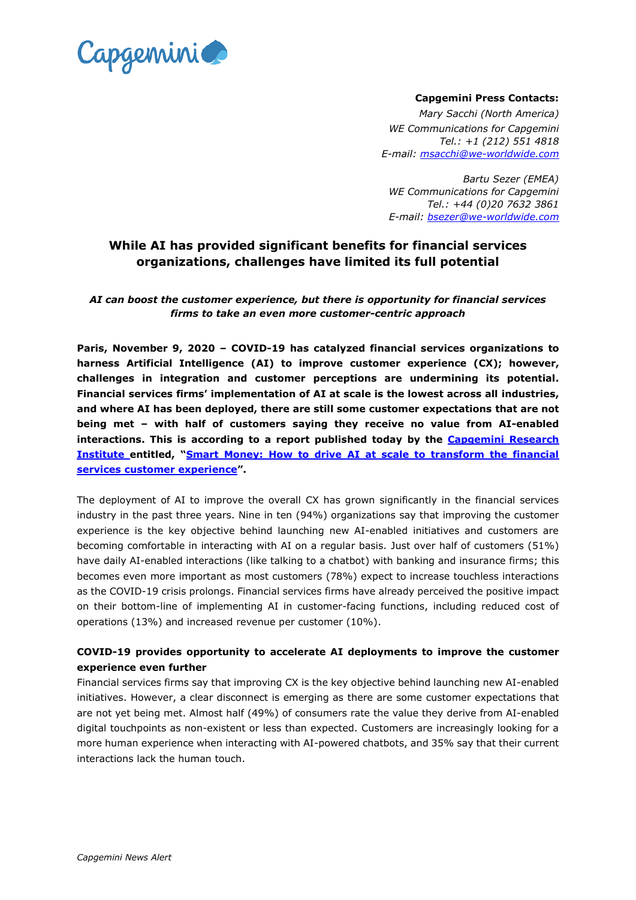

### **Capgemini Press Contacts:**

*Mary Sacchi (North America) WE Communications for Capgemini Tel.: +1 (212) 551 4818 E-mail: [msacchi@we-worldwide.com](mailto:msacchi@we-worldwide.com)*

*Bartu Sezer (EMEA) WE Communications for Capgemini Tel.: +44 (0)20 7632 3861 E-mail: [bsezer@we-worldwide.com](mailto:bsezer@we-worldwide.com)*

# **While AI has provided significant benefits for financial services organizations, challenges have limited its full potential**

### *AI can boost the customer experience, but there is opportunity for financial services firms to take an even more customer-centric approach*

**Paris, November 9, 2020 – COVID-19 has catalyzed financial services organizations to harness Artificial Intelligence (AI) to improve customer experience (CX); however, challenges in integration and customer perceptions are undermining its potential. Financial services firms' implementation of AI at scale is the lowest across all industries, and where AI has been deployed, there are still some customer expectations that are not being met – with half of customers saying they receive no value from AI-enabled interactions. This is according to a report published today by the [Capgemini](https://www.capgemini.com/research-institute/) Research [Institute](https://www.capgemini.com/research-institute/) entitled, "[Smart Money: How to drive AI at scale to transform the financial](https://www.capgemini.com/research/smart-money/?utm_source=pr&utm_medium=referral&utm_content=dcx_none_link_pressrelease_none&utm_campaign=cx_cri_ai-in-cx_financial_services)  [services customer experience](https://www.capgemini.com/research/smart-money/?utm_source=pr&utm_medium=referral&utm_content=dcx_none_link_pressrelease_none&utm_campaign=cx_cri_ai-in-cx_financial_services)".** 

The deployment of AI to improve the overall CX has grown significantly in the financial services industry in the past three years. Nine in ten (94%) organizations say that improving the customer experience is the key objective behind launching new AI-enabled initiatives and customers are becoming comfortable in interacting with AI on a regular basis. Just over half of customers (51%) have daily AI-enabled interactions (like talking to a chatbot) with banking and insurance firms; this becomes even more important as most customers (78%) expect to increase touchless interactions as the COVID-19 crisis prolongs. Financial services firms have already perceived the positive impact on their bottom-line of implementing AI in customer-facing functions, including reduced cost of operations (13%) and increased revenue per customer (10%).

## **COVID-19 provides opportunity to accelerate AI deployments to improve the customer experience even further**

Financial services firms say that improving CX is the key objective behind launching new AI-enabled initiatives. However, a clear disconnect is emerging as there are some customer expectations that are not yet being met. Almost half (49%) of consumers rate the value they derive from AI-enabled digital touchpoints as non-existent or less than expected. Customers are increasingly looking for a more human experience when interacting with AI-powered chatbots, and 35% say that their current interactions lack the human touch.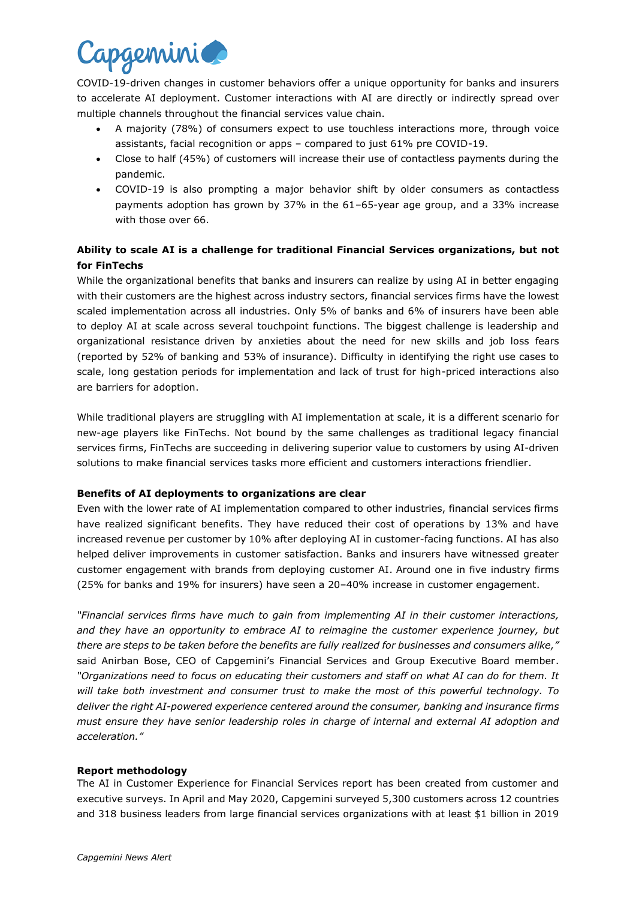

COVID-19-driven changes in customer behaviors offer a unique opportunity for banks and insurers to accelerate AI deployment. Customer interactions with AI are directly or indirectly spread over multiple channels throughout the financial services value chain.

- A majority (78%) of consumers expect to use touchless interactions more, through voice assistants, facial recognition or apps – compared to just 61% pre COVID-19.
- Close to half (45%) of customers will increase their use of contactless payments during the pandemic.
- COVID-19 is also prompting a major behavior shift by older consumers as contactless payments adoption has grown by 37% in the 61–65-year age group, and a 33% increase with those over 66.

# **Ability to scale AI is a challenge for traditional Financial Services organizations, but not for FinTechs**

While the organizational benefits that banks and insurers can realize by using AI in better engaging with their customers are the highest across industry sectors, financial services firms have the lowest scaled implementation across all industries. Only 5% of banks and 6% of insurers have been able to deploy AI at scale across several touchpoint functions. The biggest challenge is leadership and organizational resistance driven by anxieties about the need for new skills and job loss fears (reported by 52% of banking and 53% of insurance). Difficulty in identifying the right use cases to scale, long gestation periods for implementation and lack of trust for high-priced interactions also are barriers for adoption.

While traditional players are struggling with AI implementation at scale, it is a different scenario for new-age players like FinTechs. Not bound by the same challenges as traditional legacy financial services firms, FinTechs are succeeding in delivering superior value to customers by using AI-driven solutions to make financial services tasks more efficient and customers interactions friendlier.

### **Benefits of AI deployments to organizations are clear**

Even with the lower rate of AI implementation compared to other industries, financial services firms have realized significant benefits. They have reduced their cost of operations by 13% and have increased revenue per customer by 10% after deploying AI in customer-facing functions. AI has also helped deliver improvements in customer satisfaction. Banks and insurers have witnessed greater customer engagement with brands from deploying customer AI. Around one in five industry firms (25% for banks and 19% for insurers) have seen a 20–40% increase in customer engagement.

*"Financial services firms have much to gain from implementing AI in their customer interactions, and they have an opportunity to embrace AI to reimagine the customer experience journey, but there are steps to be taken before the benefits are fully realized for businesses and consumers alike,"*  said Anirban Bose, CEO of Capgemini's Financial Services and Group Executive Board member. *"Organizations need to focus on educating their customers and staff on what AI can do for them. It will take both investment and consumer trust to make the most of this powerful technology. To deliver the right AI-powered experience centered around the consumer, banking and insurance firms must ensure they have senior leadership roles in charge of internal and external AI adoption and acceleration."*

#### **Report methodology**

The AI in Customer Experience for Financial Services report has been created from customer and executive surveys. In April and May 2020, Capgemini surveyed 5,300 customers across 12 countries and 318 business leaders from large financial services organizations with at least \$1 billion in 2019